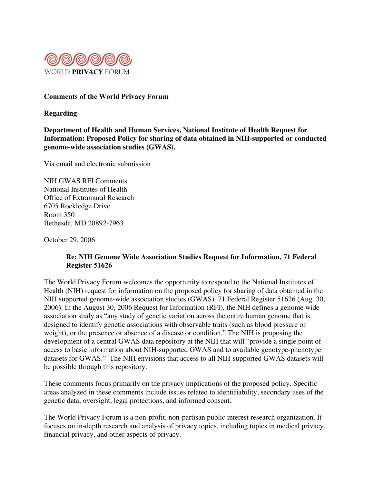

#### Comments of the World Privacy Forum

**Regarding**

**Department of Health and Human Services, National Institute of Health Request for Information: Proposed Policy for sharing of data obtained in NIH-supported or conducted genome-wide association studies (GWAS).**

Via email and electronic submission

NIH GWAS RFI Comments National Institutes of Health Office of Extramural Research 6705 Rockledge Drive Room 350 Bethesda, MD 20892-7963

October 29, 2006

# Re: NIH Genome Wide Association Studies Request for Information, 71 Federal Register 51626

The World Privacy Forum welcomes the opportunity to respond to the National Institutes of Health (NIH) request for information on the proposed policy for sharing of data obtained in the NIH supported genome-wide association studies (GWAS). 71 Federal Register 51626 (Aug. 30, 2006). In the August 30, 2006 Request for Information (RFI), the NIH defines a genome wide association study as "any study of genetic variation across the entire human genome that is designed to identify genetic associations with observable traits (such as blood pressure or weight), or the presence or absence of a disease or condition." The NIH is proposing the development of a central GWAS data repository at the NIH that will "provide a single point of access to basic information about NIH-supported GWAS and to available genotype-phenotype datasets for GWAS." The NIH envisions that access to all NIH-supported GWAS datasets will be possible through this repository.

These comments focus primarily on the privacy implications of the proposed policy. Specific areas analyzed in these comments include issues related to identifiability, secondary uses of the genetic data, oversight, legal protections, and informed consent.

The World Privacy Forum is a non-profit, non-partisan public interest research organization. It focuses on in-depth research and analysis of privacy topics, including topics in medical privacy, financial privacy, and other aspects of privacy.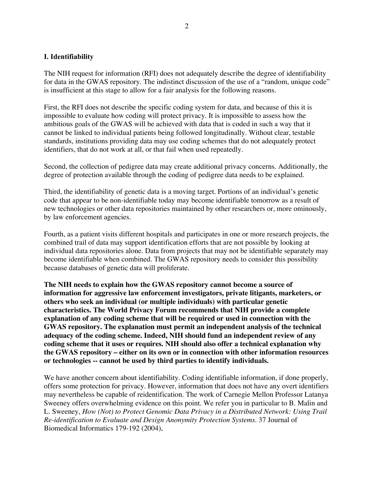#### I. Identifiability

The NIH request for information (RFI) does not adequately describe the degree of identifiability for data in the GWAS repository. The indistinct discussion of the use of a "random, unique code" is insufficient at this stage to allow for a fair analysis for the following reasons.

First, the RFI does not describe the specific coding system for data, and because of this it is impossible to evaluate how coding will protect privacy. It is impossible to assess how the ambitious goals of the GWAS will be achieved with data that is coded in such a way that it cannot be linked to individual patients being followed longitudinally. Without clear, testable standards, institutions providing data may use coding schemes that do not adequately protect identifiers, that do not work at all, or that fail when used repeatedly.

Second, the collection of pedigree data may create additional privacy concerns. Additionally, the degree of protection available through the coding of pedigree data needs to be explained.

Third, the identifiability of genetic data is a moving target. Portions of an individual's genetic code that appear to be non-identifiable today may become identifiable tomorrow as a result of new technologies or other data repositories maintained by other researchers or, more ominously, by law enforcement agencies.

Fourth, as a patient visits different hospitals and participates in one or more research projects, the combined trail of data may support identification efforts that are not possible by looking at individual data repositories alone. Data from projects that may not be identifiable separately may become identifiable when combined. The GWAS repository needs to consider this possibility because databases of genetic data will proliferate.

**The NIH needs to explain how the GWAS repository cannot become a source of information for aggressive law enforcement investigators, private litigants, marketers, or others who seek an individual (or multiple individuals) with particular genetic characteristics. The World Privacy Forum recommends that NIH provide a complete explanation of any coding scheme that will be required or used in connection with the GWAS repository. The explanation must permit an independent analysis of the technical adequacy of the coding scheme. Indeed, NIH should fund an independent review of any coding scheme that it uses or requires. NIH should also offer a technical explanation why the GWAS repository – either on its own or in connection with other information resources or technologies -- cannot be used by third parties to identify individuals.**

We have another concern about identifiability. Coding identifiable information, if done properly, offers some protection for privacy. However, information that does not have any overt identifiers may nevertheless be capable of reidentification. The work of Carnegie Mellon Professor Latanya Sweeney offers overwhelming evidence on this point. We refer you in particular to B. Malin and L. Sweeney, *How (Not) to Protect Genomic Data Privacy in a Distributed Network: Using Trail Re-identification to Evaluate and Design Anonymity Protection Systems*. 37 Journal of Biomedical Informatics 179-192 (2004),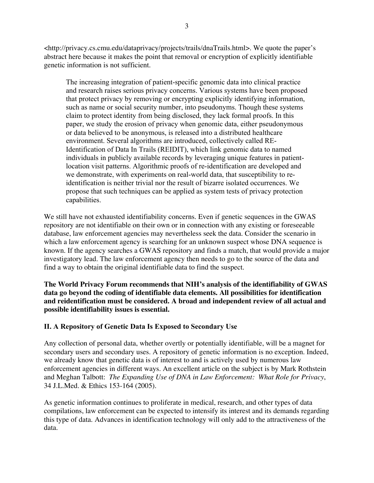<http://privacy.cs.cmu.edu/dataprivacy/projects/trails/dnaTrails.html>. We quote the paper's abstract here because it makes the point that removal or encryption of explicitly identifiable genetic information is not sufficient.

The increasing integration of patient-specific genomic data into clinical practice and research raises serious privacy concerns. Various systems have been proposed that protect privacy by removing or encrypting explicitly identifying information, such as name or social security number, into pseudonyms. Though these systems claim to protect identity from being disclosed, they lack formal proofs. In this paper, we study the erosion of privacy when genomic data, either pseudonymous or data believed to be anonymous, is released into a distributed healthcare environment. Several algorithms are introduced, collectively called RE-Identification of Data In Trails (REIDIT), which link genomic data to named individuals in publicly available records by leveraging unique features in patientlocation visit patterns. Algorithmic proofs of re-identification are developed and we demonstrate, with experiments on real-world data, that susceptibility to reidentification is neither trivial nor the result of bizarre isolated occurrences. We propose that such techniques can be applied as system tests of privacy protection capabilities.

We still have not exhausted identifiability concerns. Even if genetic sequences in the GWAS repository are not identifiable on their own or in connection with any existing or foreseeable database, law enforcement agencies may nevertheless seek the data. Consider the scenario in which a law enforcement agency is searching for an unknown suspect whose DNA sequence is known. If the agency searches a GWAS repository and finds a match, that would provide a major investigatory lead. The law enforcement agency then needs to go to the source of the data and find a way to obtain the original identifiable data to find the suspect.

**The World Privacy Forum recommends that NIH's analysis of the identifiability of GWAS data go beyond the coding of identifiable data elements. All possibilities for identification and reidentification must be considered. A broad and independent review of all actual and possible identifiability issues is essential.**

# II. A Repository of Genetic Data Is Exposed to Secondary Use

Any collection of personal data, whether overtly or potentially identifiable, will be a magnet for secondary users and secondary uses. A repository of genetic information is no exception. Indeed, we already know that genetic data is of interest to and is actively used by numerous law enforcement agencies in different ways. An excellent article on the subject is by Mark Rothstein and Meghan Talbott: *The Expanding Use of DNA in Law Enforcement: What Role for Privacy*, 34 J.L.Med. & Ethics 153-164 (2005).

As genetic information continues to proliferate in medical, research, and other types of data compilations, law enforcement can be expected to intensify its interest and its demands regarding this type of data. Advances in identification technology will only add to the attractiveness of the data.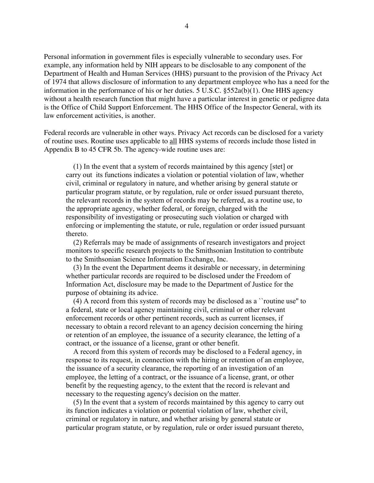Personal information in government files is especially vulnerable to secondary uses. For example, any information held by NIH appears to be disclosable to any component of the Department of Health and Human Services (HHS) pursuant to the provision of the Privacy Act of 1974 that allows disclosure of information to any department employee who has a need for the information in the performance of his or her duties. 5 U.S.C. §552a(b)(1). One HHS agency without a health research function that might have a particular interest in genetic or pedigree data is the Office of Child Support Enforcement. The HHS Office of the Inspector General, with its law enforcement activities, is another.

Federal records are vulnerable in other ways. Privacy Act records can be disclosed for a variety of routine uses. Routine uses applicable to all HHS systems of records include those listed in Appendix B to 45 CFR 5b. The agency-wide routine uses are:

 (1) In the event that a system of records maintained by this agency [stet] or carry out its functions indicates a violation or potential violation of law, whether civil, criminal or regulatory in nature, and whether arising by general statute or particular program statute, or by regulation, rule or order issued pursuant thereto, the relevant records in the system of records may be referred, as a routine use, to the appropriate agency, whether federal, or foreign, charged with the responsibility of investigating or prosecuting such violation or charged with enforcing or implementing the statute, or rule, regulation or order issued pursuant thereto.

 (2) Referrals may be made of assignments of research investigators and project monitors to specific research projects to the Smithsonian Institution to contribute to the Smithsonian Science Information Exchange, Inc.

 (3) In the event the Department deems it desirable or necessary, in determining whether particular records are required to be disclosed under the Freedom of Information Act, disclosure may be made to the Department of Justice for the purpose of obtaining its advice.

 (4) A record from this system of records may be disclosed as a ``routine use'' to a federal, state or local agency maintaining civil, criminal or other relevant enforcement records or other pertinent records, such as current licenses, if necessary to obtain a record relevant to an agency decision concerning the hiring or retention of an employee, the issuance of a security clearance, the letting of a contract, or the issuance of a license, grant or other benefit.

 A record from this system of records may be disclosed to a Federal agency, in response to its request, in connection with the hiring or retention of an employee, the issuance of a security clearance, the reporting of an investigation of an employee, the letting of a contract, or the issuance of a license, grant, or other benefit by the requesting agency, to the extent that the record is relevant and necessary to the requesting agency's decision on the matter.

 (5) In the event that a system of records maintained by this agency to carry out its function indicates a violation or potential violation of law, whether civil, criminal or regulatory in nature, and whether arising by general statute or particular program statute, or by regulation, rule or order issued pursuant thereto,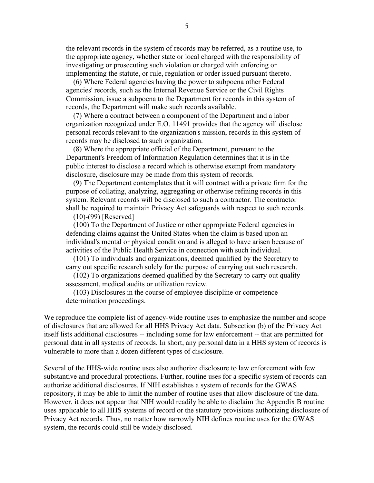the relevant records in the system of records may be referred, as a routine use, to the appropriate agency, whether state or local charged with the responsibility of investigating or prosecuting such violation or charged with enforcing or implementing the statute, or rule, regulation or order issued pursuant thereto.

 (6) Where Federal agencies having the power to subpoena other Federal agencies' records, such as the Internal Revenue Service or the Civil Rights Commission, issue a subpoena to the Department for records in this system of records, the Department will make such records available.

 (7) Where a contract between a component of the Department and a labor organization recognized under E.O. 11491 provides that the agency will disclose personal records relevant to the organization's mission, records in this system of records may be disclosed to such organization.

 (8) Where the appropriate official of the Department, pursuant to the Department's Freedom of Information Regulation determines that it is in the public interest to disclose a record which is otherwise exempt from mandatory disclosure, disclosure may be made from this system of records.

 (9) The Department contemplates that it will contract with a private firm for the purpose of collating, analyzing, aggregating or otherwise refining records in this system. Relevant records will be disclosed to such a contractor. The contractor shall be required to maintain Privacy Act safeguards with respect to such records.

(10)-(99) [Reserved]

 (100) To the Department of Justice or other appropriate Federal agencies in defending claims against the United States when the claim is based upon an individual's mental or physical condition and is alleged to have arisen because of activities of the Public Health Service in connection with such individual.

 (101) To individuals and organizations, deemed qualified by the Secretary to carry out specific research solely for the purpose of carrying out such research.

 (102) To organizations deemed qualified by the Secretary to carry out quality assessment, medical audits or utilization review.

 (103) Disclosures in the course of employee discipline or competence determination proceedings.

We reproduce the complete list of agency-wide routine uses to emphasize the number and scope of disclosures that are allowed for all HHS Privacy Act data. Subsection (b) of the Privacy Act itself lists additional disclosures -- including some for law enforcement -- that are permitted for personal data in all systems of records. In short, any personal data in a HHS system of records is vulnerable to more than a dozen different types of disclosure.

Several of the HHS-wide routine uses also authorize disclosure to law enforcement with few substantive and procedural protections. Further, routine uses for a specific system of records can authorize additional disclosures. If NIH establishes a system of records for the GWAS repository, it may be able to limit the number of routine uses that allow disclosure of the data. However, it does not appear that NIH would readily be able to disclaim the Appendix B routine uses applicable to all HHS systems of record or the statutory provisions authorizing disclosure of Privacy Act records. Thus, no matter how narrowly NIH defines routine uses for the GWAS system, the records could still be widely disclosed.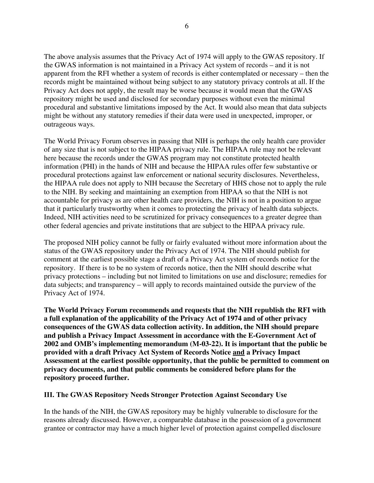The above analysis assumes that the Privacy Act of 1974 will apply to the GWAS repository. If the GWAS information is not maintained in a Privacy Act system of records – and it is not apparent from the RFI whether a system of records is either contemplated or necessary – then the records might be maintained without being subject to any statutory privacy controls at all. If the Privacy Act does not apply, the result may be worse because it would mean that the GWAS repository might be used and disclosed for secondary purposes without even the minimal procedural and substantive limitations imposed by the Act. It would also mean that data subjects might be without any statutory remedies if their data were used in unexpected, improper, or outrageous ways.

The World Privacy Forum observes in passing that NIH is perhaps the only health care provider of any size that is not subject to the HIPAA privacy rule. The HIPAA rule may not be relevant here because the records under the GWAS program may not constitute protected health information (PHI) in the hands of NIH and because the HIPAA rules offer few substantive or procedural protections against law enforcement or national security disclosures. Nevertheless, the HIPAA rule does not apply to NIH because the Secretary of HHS chose not to apply the rule to the NIH. By seeking and maintaining an exemption from HIPAA so that the NIH is not accountable for privacy as are other health care providers, the NIH is not in a position to argue that it particularly trustworthy when it comes to protecting the privacy of health data subjects. Indeed, NIH activities need to be scrutinized for privacy consequences to a greater degree than other federal agencies and private institutions that are subject to the HIPAA privacy rule.

The proposed NIH policy cannot be fully or fairly evaluated without more information about the status of the GWAS repository under the Privacy Act of 1974. The NIH should publish for comment at the earliest possible stage a draft of a Privacy Act system of records notice for the repository. If there is to be no system of records notice, then the NIH should describe what privacy protections – including but not limited to limitations on use and disclosure; remedies for data subjects; and transparency – will apply to records maintained outside the purview of the Privacy Act of 1974.

**The World Privacy Forum recommends and requests that the NIH republish the RFI with a full explanation of the applicability of the Privacy Act of 1974 and of other privacy consequences of the GWAS data collection activity. In addition, the NIH should prepare and publish a Privacy Impact Assessment in accordance with the E-Government Act of 2002 and OMB's implementing memorandum (M-03-22). It is important that the public be provided with a draft Privacy Act System of Records Notice and a Privacy Impact Assessment at the earliest possible opportunity, that the public be permitted to comment on privacy documents, and that public comments be considered before plans for the repository proceed further.**

#### III. The GWAS Repository Needs Stronger Protection Against Secondary Use

In the hands of the NIH, the GWAS repository may be highly vulnerable to disclosure for the reasons already discussed. However, a comparable database in the possession of a government grantee or contractor may have a much higher level of protection against compelled disclosure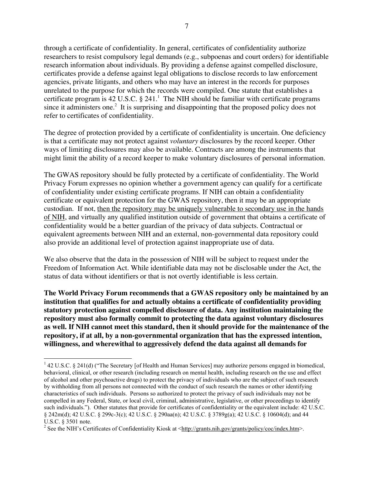through a certificate of confidentiality. In general, certificates of confidentiality authorize researchers to resist compulsory legal demands (e.g., subpoenas and court orders) for identifiable research information about individuals. By providing a defense against compelled disclosure, certificates provide a defense against legal obligations to disclose records to law enforcement agencies, private litigants, and others who may have an interest in the records for purposes unrelated to the purpose for which the records were compiled. One statute that establishes a certificate program is 42 U.S.C.  $\S$  241.<sup>1</sup> The NIH should be familiar with certificate programs since it administers one. $2$  It is surprising and disappointing that the proposed policy does not refer to certificates of confidentiality.

The degree of protection provided by a certificate of confidentiality is uncertain. One deficiency is that a certificate may not protect against *voluntary* disclosures by the record keeper. Other ways of limiting disclosures may also be available. Contracts are among the instruments that might limit the ability of a record keeper to make voluntary disclosures of personal information.

The GWAS repository should be fully protected by a certificate of confidentiality. The World Privacy Forum expresses no opinion whether a government agency can qualify for a certificate of confidentiality under existing certificate programs. If NIH can obtain a confidentiality certificate or equivalent protection for the GWAS repository, then it may be an appropriate custodian. If not, then the repository may be uniquely vulnerable to secondary use in the hands of NIH, and virtually any qualified institution outside of government that obtains a certificate of confidentiality would be a better guardian of the privacy of data subjects. Contractual or equivalent agreements between NIH and an external, non-governmental data repository could also provide an additional level of protection against inappropriate use of data.

We also observe that the data in the possession of NIH will be subject to request under the Freedom of Information Act. While identifiable data may not be disclosable under the Act, the status of data without identifiers or that is not overtly identifiable is less certain.

**The World Privacy Forum recommends that a GWAS repository only be maintained by an institution that qualifies for and actually obtains a certificate of confidentiality providing statutory protection against compelled disclosure of data. Any institution maintaining the repository must also formally commit to protecting the data against voluntary disclosures as well. If NIH cannot meet this standard, then it should provide for the maintenance of the repository, if at all, by a non-governmental organization that has the expressed intention, willingness, and wherewithal to aggressively defend the data against all demands for**

 $\frac{1}{1}$ <sup>1</sup> 42 U.S.C. § 241(d) ("The Secretary [of Health and Human Services] may authorize persons engaged in biomedical, behavioral, clinical, or other research (including research on mental health, including research on the use and effect of alcohol and other psychoactive drugs) to protect the privacy of individuals who are the subject of such research by withholding from all persons not connected with the conduct of such research the names or other identifying characteristics of such individuals. Persons so authorized to protect the privacy of such individuals may not be compelled in any Federal, State, or local civil, criminal, administrative, legislative, or other proceedings to identify such individuals."). Other statutes that provide for certificates of confidentiality or the equivalent include: 42 U.S.C. § 242m(d); 42 U.S.C. § 299c-3(c); 42 U.S.C. § 290aa(n); 42 U.S.C. § 3789g(a); 42 U.S.C. § 10604(d); and 44 U.S.C. § 3501 note.

<sup>&</sup>lt;sup>2</sup> See the NIH's Certificates of Confidentiality Kiosk at < $\frac{http://grams.nih.gov/grams/policy/coc/index.htm>$ .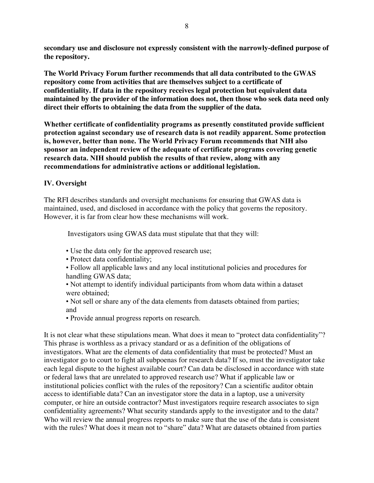**secondary use and disclosure not expressly consistent with the narrowly-defined purpose of the repository.**

**The World Privacy Forum further recommends that all data contributed to the GWAS repository come from activities that are themselves subject to a certificate of confidentiality. If data in the repository receives legal protection but equivalent data maintained by the provider of the information does not, then those who seek data need only direct their efforts to obtaining the data from the supplier of the data.**

Whether certificate of confidentiality programs as presently constituted provide sufficient protection against secondary use of research data is not readily apparent. Some protection is, however, better than none. The World Privacy Forum recommends that NIH also sponsor an independent review of the adequate of certificate programs covering genetic research data. NIH should publish the results of that review, along with any recommendations for administrative actions or additional legislation.

# IV. Oversight

The RFI describes standards and oversight mechanisms for ensuring that GWAS data is maintained, used, and disclosed in accordance with the policy that governs the repository. However, it is far from clear how these mechanisms will work.

Investigators using GWAS data must stipulate that that they will:

- Use the data only for the approved research use;
- Protect data confidentiality;
- Follow all applicable laws and any local institutional policies and procedures for handling GWAS data;
- Not attempt to identify individual participants from whom data within a dataset were obtained<sup>.</sup>
- Not sell or share any of the data elements from datasets obtained from parties; and
- Provide annual progress reports on research.

It is not clear what these stipulations mean. What does it mean to "protect data confidentiality"? This phrase is worthless as a privacy standard or as a definition of the obligations of investigators. What are the elements of data confidentiality that must be protected? Must an investigator go to court to fight all subpoenas for research data? If so, must the investigator take each legal dispute to the highest available court? Can data be disclosed in accordance with state or federal laws that are unrelated to approved research use? What if applicable law or institutional policies conflict with the rules of the repository? Can a scientific auditor obtain access to identifiable data? Can an investigator store the data in a laptop, use a university computer, or hire an outside contractor? Must investigators require research associates to sign confidentiality agreements? What security standards apply to the investigator and to the data? Who will review the annual progress reports to make sure that the use of the data is consistent with the rules? What does it mean not to "share" data? What are datasets obtained from parties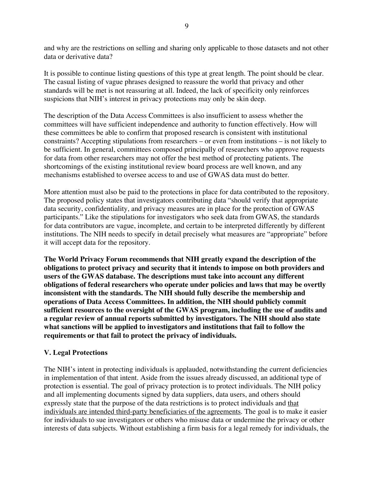and why are the restrictions on selling and sharing only applicable to those datasets and not other data or derivative data?

It is possible to continue listing questions of this type at great length. The point should be clear. The casual listing of vague phrases designed to reassure the world that privacy and other standards will be met is not reassuring at all. Indeed, the lack of specificity only reinforces suspicions that NIH's interest in privacy protections may only be skin deep.

The description of the Data Access Committees is also insufficient to assess whether the committees will have sufficient independence and authority to function effectively. How will these committees be able to confirm that proposed research is consistent with institutional constraints? Accepting stipulations from researchers – or even from institutions – is not likely to be sufficient. In general, committees composed principally of researchers who approve requests for data from other researchers may not offer the best method of protecting patients. The shortcomings of the existing institutional review board process are well known, and any mechanisms established to oversee access to and use of GWAS data must do better.

More attention must also be paid to the protections in place for data contributed to the repository. The proposed policy states that investigators contributing data "should verify that appropriate data security, confidentiality, and privacy measures are in place for the protection of GWAS participants." Like the stipulations for investigators who seek data from GWAS, the standards for data contributors are vague, incomplete, and certain to be interpreted differently by different institutions. The NIH needs to specify in detail precisely what measures are "appropriate" before it will accept data for the repository.

**The World Privacy Forum recommends that NIH greatly expand the description of the obligations to protect privacy and security that it intends to impose on both providers and users of the GWAS database. The descriptions must take into account any different obligations of federal researchers who operate under policies and laws that may be overtly inconsistent with the standards. The NIH should fully describe the membership and operations of Data Access Committees. In addition, the NIH should publicly commit sufficient resources to the oversight of the GWAS program, including the use of audits and a regular review of annual reports submitted by investigators. The NIH should also state what sanctions will be applied to investigators and institutions that fail to follow the requirements or that fail to protect the privacy of individuals.**

# V. Legal Protections

The NIH's intent in protecting individuals is applauded, notwithstanding the current deficiencies in implementation of that intent. Aside from the issues already discussed, an additional type of protection is essential. The goal of privacy protection is to protect individuals. The NIH policy and all implementing documents signed by data suppliers, data users, and others should expressly state that the purpose of the data restrictions is to protect individuals and that individuals are intended third-party beneficiaries of the agreements. The goal is to make it easier for individuals to sue investigators or others who misuse data or undermine the privacy or other interests of data subjects. Without establishing a firm basis for a legal remedy for individuals, the